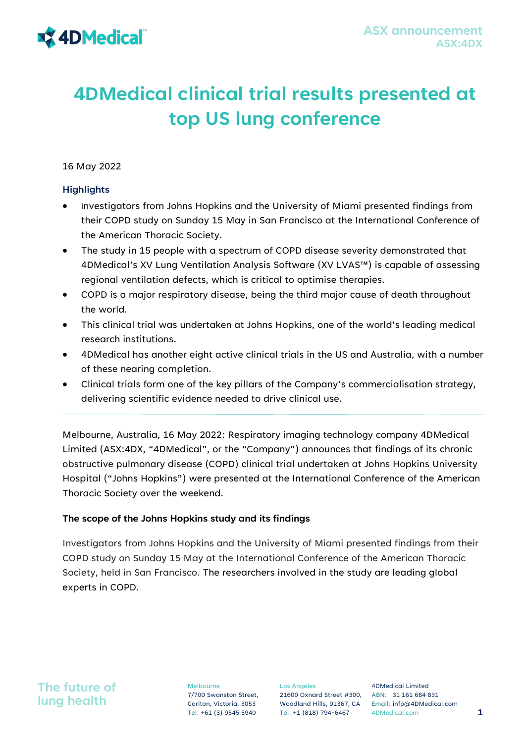# **4DMedical clinical trial results presented at top US lung conference**

16 May 2022

## **Highlights**

- Investigators from Johns Hopkins and the University of Miami presented findings from their COPD study on Sunday 15 May in San Francisco at the International Conference of the American Thoracic Society.
- The study in 15 people with a spectrum of COPD disease severity demonstrated that 4DMedical's XV Lung Ventilation Analysis Software (XV LVAS™) is capable of assessing regional ventilation defects, which is critical to optimise therapies.
- COPD is a major respiratory disease, being the third major cause of death throughout the world.
- This clinical trial was undertaken at Johns Hopkins, one of the world's leading medical research institutions.
- 4DMedical has another eight active clinical trials in the US and Australia, with a number of these nearing completion.
- Clinical trials form one of the key pillars of the Company's commercialisation strategy, delivering scientific evidence needed to drive clinical use.

Melbourne, Australia, 16 May 2022: Respiratory imaging technology company 4DMedical Limited (ASX:4DX, "4DMedical", or the "Company") announces that findings of its chronic obstructive pulmonary disease (COPD) clinical trial undertaken at Johns Hopkins University Hospital ("Johns Hopkins") were presented at the International Conference of the American Thoracic Society over the weekend.

## **The scope of the Johns Hopkins study and its findings**

Investigators from Johns Hopkins and the University of Miami presented findings from their COPD study on Sunday 15 May at the International Conference of the American Thoracic Society, held in San Francisco. The researchers involved in the study are leading global experts in COPD.

## **The future of lung health**

Melbourne 7/700 Swanston Street, Carlton, Victoria, 3053

Los Angeles 21600 Oxnard Street #300, ABN: 31 161 684 831

Woodland Hills, 91367, CA Email: info@4DMedical.com 4DMedical Limited Tel: +61 (3) 9545 5940 Tel: +1 (818) 794-6467 4DMedical.com **1**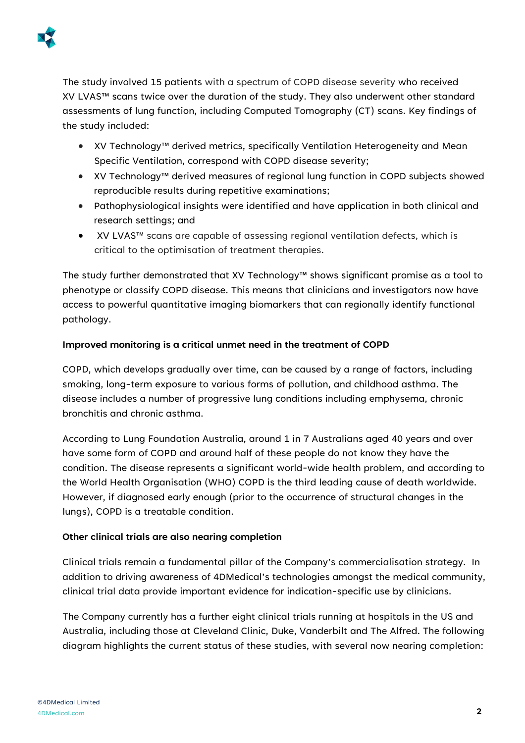

The study involved 15 patients with a spectrum of COPD disease severity who received XV LVAS™ scans twice over the duration of the study. They also underwent other standard assessments of lung function, including Computed Tomography (CT) scans. Key findings of the study included:

- XV Technology™ derived metrics, specifically Ventilation Heterogeneity and Mean Specific Ventilation, correspond with COPD disease severity;
- XV Technology™ derived measures of regional lung function in COPD subjects showed reproducible results during repetitive examinations;
- Pathophysiological insights were identified and have application in both clinical and research settings; and
- XV LVAS™ scans are capable of assessing regional ventilation defects, which is critical to the optimisation of treatment therapies.

The study further demonstrated that XV Technology™ shows significant promise as a tool to phenotype or classify COPD disease. This means that clinicians and investigators now have access to powerful quantitative imaging biomarkers that can regionally identify functional pathology.

## **Improved monitoring is a critical unmet need in the treatment of COPD**

COPD, which develops gradually over time, can be caused by a range of factors, including smoking, long-term exposure to various forms of pollution, and childhood asthma. The disease includes a number of progressive lung conditions including emphysema, chronic bronchitis and chronic asthma.

According to Lung Foundation Australia, around 1 in 7 Australians aged 40 years and over have some form of COPD and around half of these people do not know they have the condition. The disease represents a significant world-wide health problem, and according to the World Health Organisation (WHO) COPD is the third leading cause of death worldwide. However, if diagnosed early enough (prior to the occurrence of structural changes in the lungs), COPD is a treatable condition.

## **Other clinical trials are also nearing completion**

Clinical trials remain a fundamental pillar of the Company's commercialisation strategy. In addition to driving awareness of 4DMedical's technologies amongst the medical community, clinical trial data provide important evidence for indication-specific use by clinicians.

The Company currently has a further eight clinical trials running at hospitals in the US and Australia, including those at Cleveland Clinic, Duke, Vanderbilt and The Alfred. The following diagram highlights the current status of these studies, with several now nearing completion: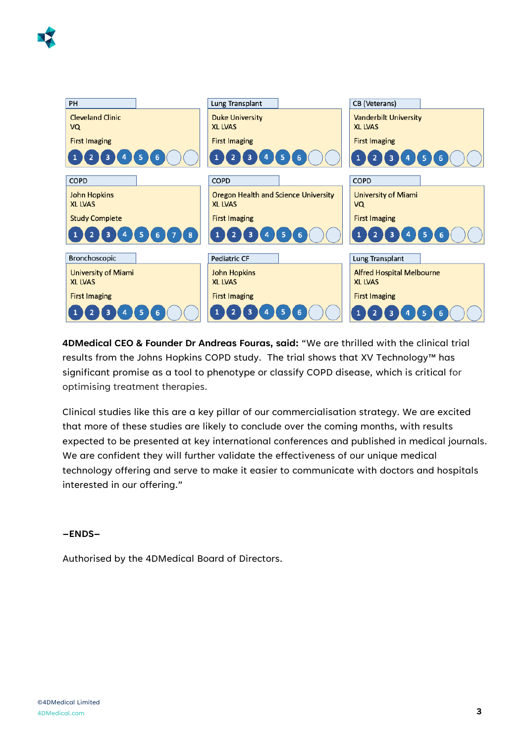



**4DMedical CEO & Founder Dr Andreas Fouras, said:** "We are thrilled with the clinical trial results from the Johns Hopkins COPD study. The trial shows that XV Technology™ has significant promise as a tool to phenotype or classify COPD disease, which is critical for optimising treatment therapies.

Clinical studies like this are a key pillar of our commercialisation strategy. We are excited that more of these studies are likely to conclude over the coming months, with results expected to be presented at key international conferences and published in medical journals. We are confident they will further validate the effectiveness of our unique medical technology offering and serve to make it easier to communicate with doctors and hospitals interested in our offering."

#### **–ENDS–**

Authorised by the 4DMedical Board of Directors.